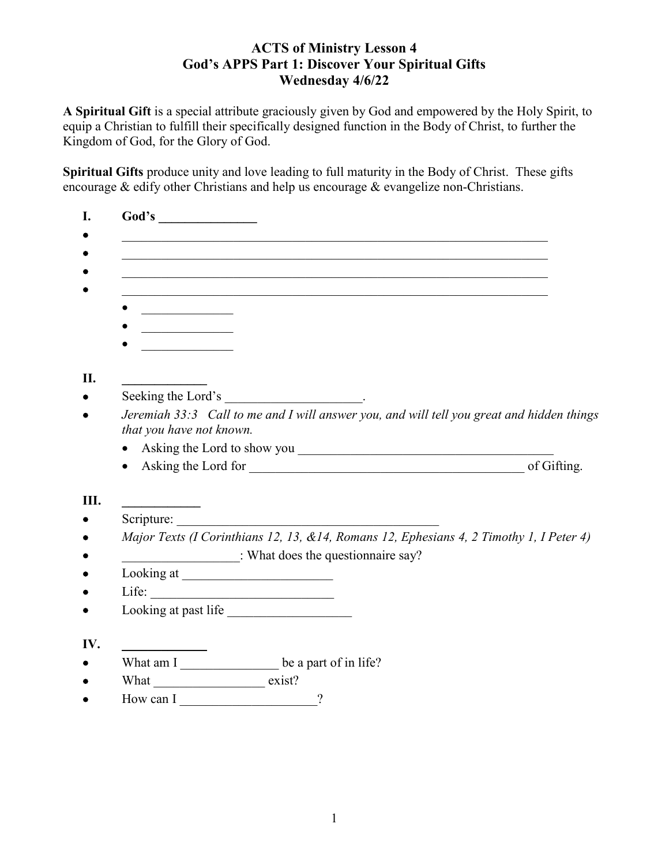# **ACTS of Ministry Lesson 4 God's APPS Part 1: Discover Your Spiritual Gifts Wednesday 4/6/22**

**A Spiritual Gift** is a special attribute graciously given by God and empowered by the Holy Spirit, to equip a Christian to fulfill their specifically designed function in the Body of Christ, to further the Kingdom of God, for the Glory of God.

**Spiritual Gifts** produce unity and love leading to full maturity in the Body of Christ. These gifts encourage & edify other Christians and help us encourage & evangelize non-Christians.

| Jeremiah 33:3 Call to me and I will answer you, and will tell you great and hidden things |
|-------------------------------------------------------------------------------------------|
|                                                                                           |
|                                                                                           |
|                                                                                           |
|                                                                                           |
|                                                                                           |
|                                                                                           |
| Major Texts (I Corinthians 12, 13, &14, Romans 12, Ephesians 4, 2 Timothy 1, I Peter 4)   |
|                                                                                           |
|                                                                                           |
|                                                                                           |
|                                                                                           |
|                                                                                           |
|                                                                                           |